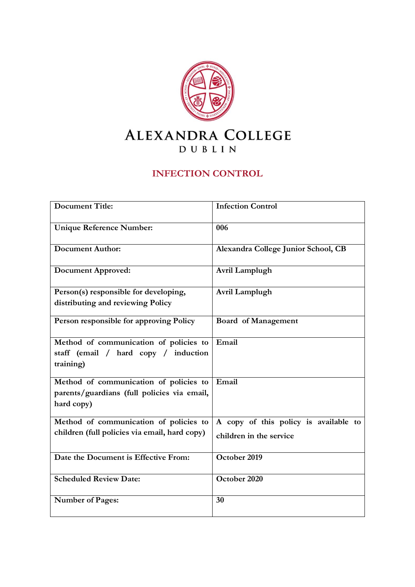

# **INFECTION CONTROL**

| <b>Document Title:</b>                        | <b>Infection Control</b>              |
|-----------------------------------------------|---------------------------------------|
| <b>Unique Reference Number:</b>               | 006                                   |
| <b>Document Author:</b>                       | Alexandra College Junior School, CB   |
| <b>Document Approved:</b>                     | Avril Lamplugh                        |
| Person(s) responsible for developing,         | Avril Lamplugh                        |
| distributing and reviewing Policy             |                                       |
| Person responsible for approving Policy       | <b>Board of Management</b>            |
| Method of communication of policies to        | Email                                 |
| staff (email / hard copy / induction          |                                       |
| training)                                     |                                       |
| Method of communication of policies to        | Email                                 |
| parents/guardians (full policies via email,   |                                       |
| hard copy)                                    |                                       |
| Method of communication of policies to        | A copy of this policy is available to |
| children (full policies via email, hard copy) | children in the service               |
| Date the Document is Effective From:          | October 2019                          |
| <b>Scheduled Review Date:</b>                 | October 2020                          |
| Number of Pages:                              | 30                                    |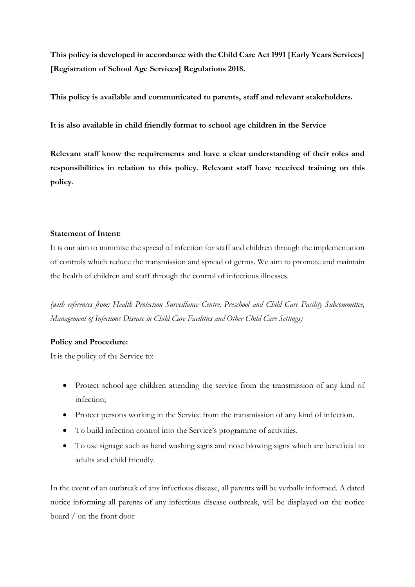**This policy is developed in accordance with the Child Care Act 1991 [Early Years Services] [Registration of School Age Services] Regulations 2018.**

**This policy is available and communicated to parents, staff and relevant stakeholders.**

**It is also available in child friendly format to school age children in the Service**

**Relevant staff know the requirements and have a clear understanding of their roles and responsibilities in relation to this policy. Relevant staff have received training on this policy.** 

## **Statement of Intent:**

It is our aim to minimise the spread of infection for staff and children through the implementation of controls which reduce the transmission and spread of germs. We aim to promote and maintain the health of children and staff through the control of infectious illnesses.

*(with references from: Health Protection Surveillance Centre, Preschool and Child Care Facility Subcommittee, Management of Infectious Disease in Child Care Facilities and Other Child Care Settings)*

# **Policy and Procedure:**

It is the policy of the Service to:

- Protect school age children attending the service from the transmission of any kind of infection;
- Protect persons working in the Service from the transmission of any kind of infection.
- To build infection control into the Service's programme of activities.
- To use signage such as hand washing signs and nose blowing signs which are beneficial to adults and child friendly.

In the event of an outbreak of any infectious disease, all parents will be verbally informed. A dated notice informing all parents of any infectious disease outbreak, will be displayed on the notice board / on the front door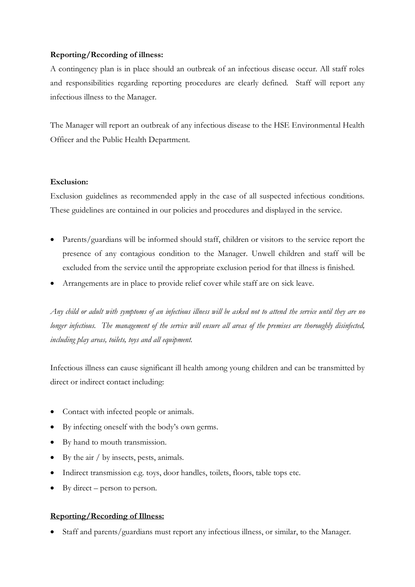## **Reporting/Recording of illness:**

A contingency plan is in place should an outbreak of an infectious disease occur. All staff roles and responsibilities regarding reporting procedures are clearly defined. Staff will report any infectious illness to the Manager.

The Manager will report an outbreak of any infectious disease to the HSE Environmental Health Officer and the Public Health Department.

## **Exclusion:**

Exclusion guidelines as recommended apply in the case of all suspected infectious conditions. These guidelines are contained in our policies and procedures and displayed in the service.

- Parents/guardians will be informed should staff, children or visitors to the service report the presence of any contagious condition to the Manager. Unwell children and staff will be excluded from the service until the appropriate exclusion period for that illness is finished.
- Arrangements are in place to provide relief cover while staff are on sick leave.

*Any child or adult with symptoms of an infectious illness will be asked not to attend the service until they are no longer infectious. The management of the service will ensure all areas of the premises are thoroughly disinfected, including play areas, toilets, toys and all equipment.* 

Infectious illness can cause significant ill health among young children and can be transmitted by direct or indirect contact including:

- Contact with infected people or animals.
- By infecting oneself with the body's own germs.
- By hand to mouth transmission.
- By the air / by insects, pests, animals.
- Indirect transmission e.g. toys, door handles, toilets, floors, table tops etc.
- By direct person to person.

## **Reporting/Recording of Illness:**

• Staff and parents/guardians must report any infectious illness, or similar, to the Manager.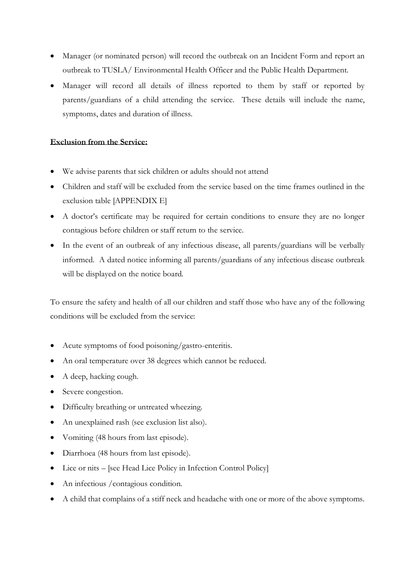- Manager (or nominated person) will record the outbreak on an Incident Form and report an outbreak to TUSLA/ Environmental Health Officer and the Public Health Department.
- Manager will record all details of illness reported to them by staff or reported by parents/guardians of a child attending the service. These details will include the name, symptoms, dates and duration of illness.

## **Exclusion from the Service:**

- We advise parents that sick children or adults should not attend
- Children and staff will be excluded from the service based on the time frames outlined in the exclusion table [APPENDIX E]
- A doctor's certificate may be required for certain conditions to ensure they are no longer contagious before children or staff return to the service.
- In the event of an outbreak of any infectious disease, all parents/guardians will be verbally informed. A dated notice informing all parents/guardians of any infectious disease outbreak will be displayed on the notice board.

To ensure the safety and health of all our children and staff those who have any of the following conditions will be excluded from the service:

- Acute symptoms of food poisoning/gastro-enteritis.
- An oral temperature over 38 degrees which cannot be reduced.
- A deep, hacking cough.
- Severe congestion.
- Difficulty breathing or untreated wheezing.
- An unexplained rash (see exclusion list also).
- Vomiting (48 hours from last episode).
- Diarrhoea (48 hours from last episode).
- Lice or nits [see Head Lice Policy in Infection Control Policy]
- An infectious /contagious condition.
- A child that complains of a stiff neck and headache with one or more of the above symptoms.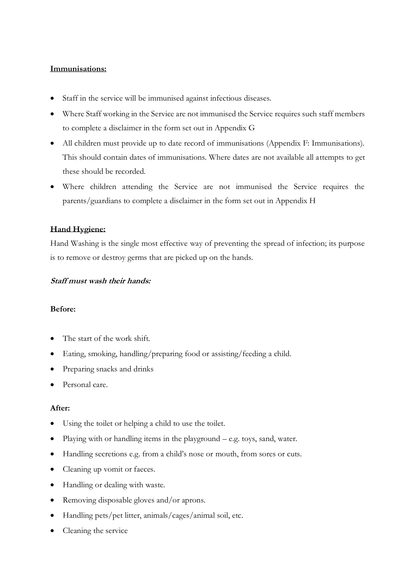## **Immunisations:**

- Staff in the service will be immunised against infectious diseases.
- Where Staff working in the Service are not immunised the Service requires such staff members to complete a disclaimer in the form set out in Appendix G
- All children must provide up to date record of immunisations (Appendix F: Immunisations). This should contain dates of immunisations. Where dates are not available all attempts to get these should be recorded.
- Where children attending the Service are not immunised the Service requires the parents/guardians to complete a disclaimer in the form set out in Appendix H

## **Hand Hygiene:**

Hand Washing is the single most effective way of preventing the spread of infection; its purpose is to remove or destroy germs that are picked up on the hands.

#### **Staff must wash their hands:**

#### **Before:**

- The start of the work shift.
- Eating, smoking, handling/preparing food or assisting/feeding a child.
- Preparing snacks and drinks
- Personal care.

## **After:**

- Using the toilet or helping a child to use the toilet.
- Playing with or handling items in the playground  $-$  e.g. toys, sand, water.
- Handling secretions e.g. from a child's nose or mouth, from sores or cuts.
- Cleaning up vomit or faeces.
- Handling or dealing with waste.
- Removing disposable gloves and/or aprons.
- Handling pets/pet litter, animals/cages/animal soil, etc.
- Cleaning the service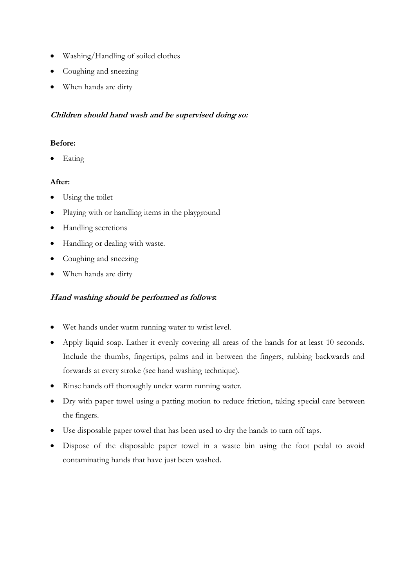- Washing/Handling of soiled clothes
- Coughing and sneezing
- When hands are dirty

## **Children should hand wash and be supervised doing so:**

## **Before:**

• Eating

## **After:**

- Using the toilet
- Playing with or handling items in the playground
- Handling secretions
- Handling or dealing with waste.
- Coughing and sneezing
- When hands are dirty

## **Hand washing should be performed as follows:**

- Wet hands under warm running water to wrist level.
- Apply liquid soap. Lather it evenly covering all areas of the hands for at least 10 seconds. Include the thumbs, fingertips, palms and in between the fingers, rubbing backwards and forwards at every stroke (see hand washing technique).
- Rinse hands off thoroughly under warm running water.
- Dry with paper towel using a patting motion to reduce friction, taking special care between the fingers.
- Use disposable paper towel that has been used to dry the hands to turn off taps.
- Dispose of the disposable paper towel in a waste bin using the foot pedal to avoid contaminating hands that have just been washed.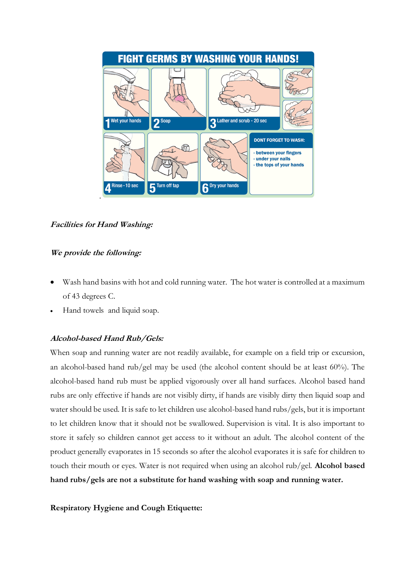

**Facilities for Hand Washing:**

# **We provide the following:**

- Wash hand basins with hot and cold running water. The hot water is controlled at a maximum of 43 degrees C.
- Hand towels and liquid soap.

# **Alcohol-based Hand Rub/Gels:**

When soap and running water are not readily available, for example on a field trip or excursion, an alcohol-based hand rub/gel may be used (the alcohol content should be at least 60%). The alcohol-based hand rub must be applied vigorously over all hand surfaces. Alcohol based hand rubs are only effective if hands are not visibly dirty, if hands are visibly dirty then liquid soap and water should be used. It is safe to let children use alcohol-based hand rubs/gels, but it is important to let children know that it should not be swallowed. Supervision is vital. It is also important to store it safely so children cannot get access to it without an adult. The alcohol content of the product generally evaporates in 15 seconds so after the alcohol evaporates it is safe for children to touch their mouth or eyes. Water is not required when using an alcohol rub/gel. **Alcohol based hand rubs/gels are not a substitute for hand washing with soap and running water.**

**Respiratory Hygiene and Cough Etiquette:**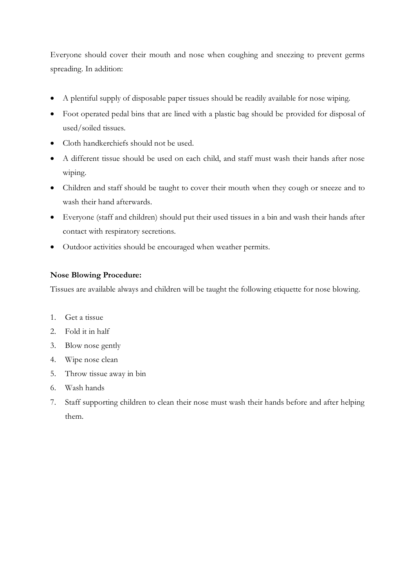Everyone should cover their mouth and nose when coughing and sneezing to prevent germs spreading. In addition:

- A plentiful supply of disposable paper tissues should be readily available for nose wiping.
- Foot operated pedal bins that are lined with a plastic bag should be provided for disposal of used/soiled tissues.
- Cloth handkerchiefs should not be used.
- A different tissue should be used on each child, and staff must wash their hands after nose wiping.
- Children and staff should be taught to cover their mouth when they cough or sneeze and to wash their hand afterwards.
- Everyone (staff and children) should put their used tissues in a bin and wash their hands after contact with respiratory secretions.
- Outdoor activities should be encouraged when weather permits.

# **Nose Blowing Procedure:**

Tissues are available always and children will be taught the following etiquette for nose blowing.

- 1. Get a tissue
- 2. Fold it in half
- 3. Blow nose gently
- 4. Wipe nose clean
- 5. Throw tissue away in bin
- 6. Wash hands
- 7. Staff supporting children to clean their nose must wash their hands before and after helping them.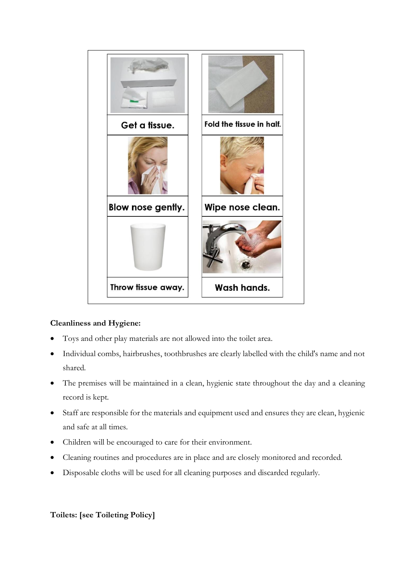

# **Cleanliness and Hygiene:**

- Toys and other play materials are not allowed into the toilet area.
- Individual combs, hairbrushes, toothbrushes are clearly labelled with the child's name and not shared.
- The premises will be maintained in a clean, hygienic state throughout the day and a cleaning record is kept.
- Staff are responsible for the materials and equipment used and ensures they are clean, hygienic and safe at all times.
- Children will be encouraged to care for their environment.
- Cleaning routines and procedures are in place and are closely monitored and recorded.
- Disposable cloths will be used for all cleaning purposes and discarded regularly.

# **Toilets: [see Toileting Policy]**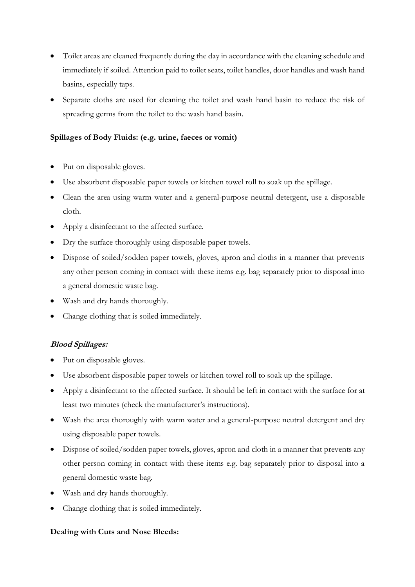- Toilet areas are cleaned frequently during the day in accordance with the cleaning schedule and immediately if soiled. Attention paid to toilet seats, toilet handles, door handles and wash hand basins, especially taps.
- Separate cloths are used for cleaning the toilet and wash hand basin to reduce the risk of spreading germs from the toilet to the wash hand basin.

## **Spillages of Body Fluids: (e.g. urine, faeces or vomit)**

- Put on disposable gloves.
- Use absorbent disposable paper towels or kitchen towel roll to soak up the spillage.
- Clean the area using warm water and a general-purpose neutral detergent, use a disposable cloth.
- Apply a disinfectant to the affected surface.
- Dry the surface thoroughly using disposable paper towels.
- Dispose of soiled/sodden paper towels, gloves, apron and cloths in a manner that prevents any other person coming in contact with these items e.g. bag separately prior to disposal into a general domestic waste bag.
- Wash and dry hands thoroughly.
- Change clothing that is soiled immediately.

## **Blood Spillages:**

- Put on disposable gloves.
- Use absorbent disposable paper towels or kitchen towel roll to soak up the spillage.
- Apply a disinfectant to the affected surface. It should be left in contact with the surface for at least two minutes (check the manufacturer's instructions).
- Wash the area thoroughly with warm water and a general-purpose neutral detergent and dry using disposable paper towels.
- Dispose of soiled/sodden paper towels, gloves, apron and cloth in a manner that prevents any other person coming in contact with these items e.g. bag separately prior to disposal into a general domestic waste bag.
- Wash and dry hands thoroughly.
- Change clothing that is soiled immediately.

## **Dealing with Cuts and Nose Bleeds:**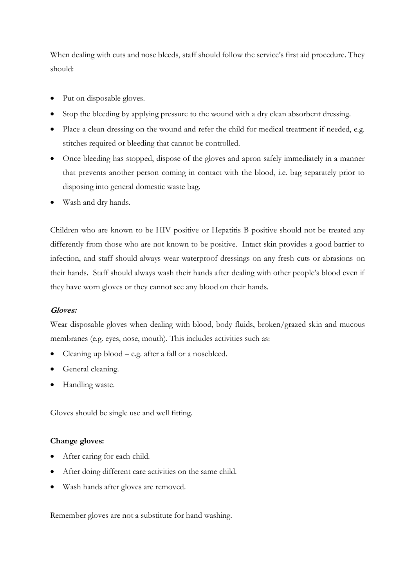When dealing with cuts and nose bleeds, staff should follow the service's first aid procedure. They should:

- Put on disposable gloves.
- Stop the bleeding by applying pressure to the wound with a dry clean absorbent dressing.
- Place a clean dressing on the wound and refer the child for medical treatment if needed, e.g. stitches required or bleeding that cannot be controlled.
- Once bleeding has stopped, dispose of the gloves and apron safely immediately in a manner that prevents another person coming in contact with the blood, i.e. bag separately prior to disposing into general domestic waste bag.
- Wash and dry hands.

Children who are known to be HIV positive or Hepatitis B positive should not be treated any differently from those who are not known to be positive. Intact skin provides a good barrier to infection, and staff should always wear waterproof dressings on any fresh cuts or abrasions on their hands. Staff should always wash their hands after dealing with other people's blood even if they have worn gloves or they cannot see any blood on their hands.

## **Gloves:**

Wear disposable gloves when dealing with blood, body fluids, broken/grazed skin and mucous membranes (e.g. eyes, nose, mouth). This includes activities such as:

- Cleaning up blood e.g. after a fall or a nosebleed.
- General cleaning.
- Handling waste.

Gloves should be single use and well fitting.

## **Change gloves:**

- After caring for each child.
- After doing different care activities on the same child.
- Wash hands after gloves are removed.

Remember gloves are not a substitute for hand washing.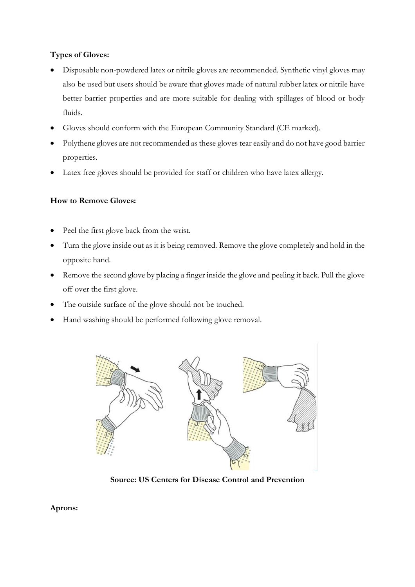# **Types of Gloves:**

- Disposable non-powdered latex or nitrile gloves are recommended. Synthetic vinyl gloves may also be used but users should be aware that gloves made of natural rubber latex or nitrile have better barrier properties and are more suitable for dealing with spillages of blood or body fluids.
- Gloves should conform with the European Community Standard (CE marked).
- Polythene gloves are not recommended as these gloves tear easily and do not have good barrier properties.
- Latex free gloves should be provided for staff or children who have latex allergy.

# **How to Remove Gloves:**

- Peel the first glove back from the wrist.
- Turn the glove inside out as it is being removed. Remove the glove completely and hold in the opposite hand.
- Remove the second glove by placing a finger inside the glove and peeling it back. Pull the glove off over the first glove.
- The outside surface of the glove should not be touched.
- Hand washing should be performed following glove removal.



**Source: US Centers for Disease Control and Prevention**

## **Aprons:**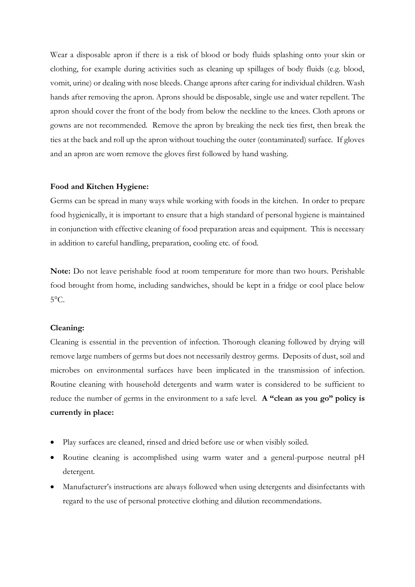Wear a disposable apron if there is a risk of blood or body fluids splashing onto your skin or clothing, for example during activities such as cleaning up spillages of body fluids (e.g. blood, vomit, urine) or dealing with nose bleeds. Change aprons after caring for individual children. Wash hands after removing the apron. Aprons should be disposable, single use and water repellent. The apron should cover the front of the body from below the neckline to the knees. Cloth aprons or gowns are not recommended. Remove the apron by breaking the neck ties first, then break the ties at the back and roll up the apron without touching the outer (contaminated) surface. If gloves and an apron are worn remove the gloves first followed by hand washing.

#### **Food and Kitchen Hygiene:**

Germs can be spread in many ways while working with foods in the kitchen. In order to prepare food hygienically, it is important to ensure that a high standard of personal hygiene is maintained in conjunction with effective cleaning of food preparation areas and equipment. This is necessary in addition to careful handling, preparation, cooling etc. of food.

**Note:** Do not leave perishable food at room temperature for more than two hours. Perishable food brought from home, including sandwiches, should be kept in a fridge or cool place below  $5^{\circ}$ C.

#### **Cleaning:**

Cleaning is essential in the prevention of infection. Thorough cleaning followed by drying will remove large numbers of germs but does not necessarily destroy germs. Deposits of dust, soil and microbes on environmental surfaces have been implicated in the transmission of infection. Routine cleaning with household detergents and warm water is considered to be sufficient to reduce the number of germs in the environment to a safe level. **A "clean as you go" policy is currently in place:**

- Play surfaces are cleaned, rinsed and dried before use or when visibly soiled.
- Routine cleaning is accomplished using warm water and a general-purpose neutral pH detergent.
- Manufacturer's instructions are always followed when using detergents and disinfectants with regard to the use of personal protective clothing and dilution recommendations.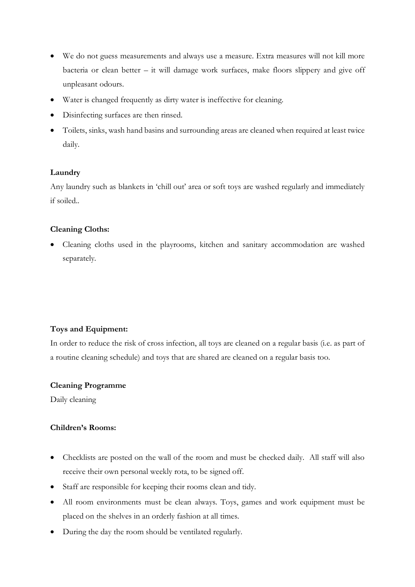- We do not guess measurements and always use a measure. Extra measures will not kill more bacteria or clean better – it will damage work surfaces, make floors slippery and give off unpleasant odours.
- Water is changed frequently as dirty water is ineffective for cleaning.
- Disinfecting surfaces are then rinsed.
- Toilets, sinks, wash hand basins and surrounding areas are cleaned when required at least twice daily.

## **Laundry**

Any laundry such as blankets in 'chill out' area or soft toys are washed regularly and immediately if soiled..

## **Cleaning Cloths:**

• Cleaning cloths used in the playrooms, kitchen and sanitary accommodation are washed separately.

## **Toys and Equipment:**

In order to reduce the risk of cross infection, all toys are cleaned on a regular basis (i.e. as part of a routine cleaning schedule) and toys that are shared are cleaned on a regular basis too.

## **Cleaning Programme**

Daily cleaning

## **Children's Rooms:**

- Checklists are posted on the wall of the room and must be checked daily. All staff will also receive their own personal weekly rota, to be signed off.
- Staff are responsible for keeping their rooms clean and tidy.
- All room environments must be clean always. Toys, games and work equipment must be placed on the shelves in an orderly fashion at all times.
- During the day the room should be ventilated regularly.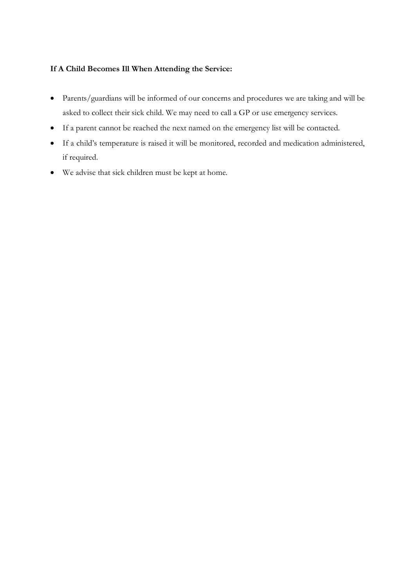## **If A Child Becomes Ill When Attending the Service:**

- Parents/guardians will be informed of our concerns and procedures we are taking and will be asked to collect their sick child. We may need to call a GP or use emergency services.
- If a parent cannot be reached the next named on the emergency list will be contacted.
- If a child's temperature is raised it will be monitored, recorded and medication administered, if required.
- We advise that sick children must be kept at home.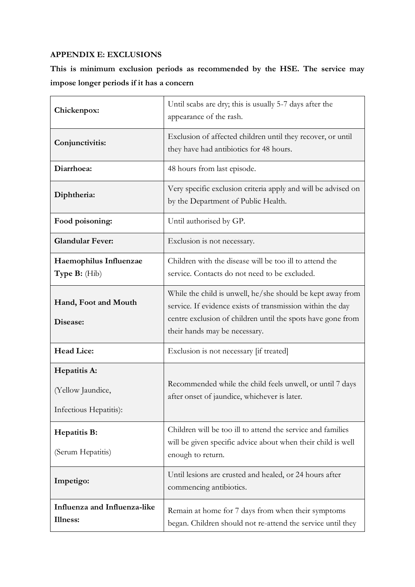# **APPENDIX E: EXCLUSIONS**

**This is minimum exclusion periods as recommended by the HSE. The service may impose longer periods if it has a concern** 

| Chickenpox:                                                 | Until scabs are dry; this is usually 5-7 days after the<br>appearance of the rash.                                                                                                                                       |
|-------------------------------------------------------------|--------------------------------------------------------------------------------------------------------------------------------------------------------------------------------------------------------------------------|
| Conjunctivitis:                                             | Exclusion of affected children until they recover, or until<br>they have had antibiotics for 48 hours.                                                                                                                   |
| Diarrhoea:                                                  | 48 hours from last episode.                                                                                                                                                                                              |
| Diphtheria:                                                 | Very specific exclusion criteria apply and will be advised on<br>by the Department of Public Health.                                                                                                                     |
| Food poisoning:                                             | Until authorised by GP.                                                                                                                                                                                                  |
| <b>Glandular Fever:</b>                                     | Exclusion is not necessary.                                                                                                                                                                                              |
| Haemophilus Influenzae<br>Type B: (Hib)                     | Children with the disease will be too ill to attend the<br>service. Contacts do not need to be excluded.                                                                                                                 |
| Hand, Foot and Mouth<br>Disease:                            | While the child is unwell, he/she should be kept away from<br>service. If evidence exists of transmission within the day<br>centre exclusion of children until the spots have gone from<br>their hands may be necessary. |
| <b>Head Lice:</b>                                           | Exclusion is not necessary [if treated]                                                                                                                                                                                  |
| Hepatitis A:<br>(Yellow Jaundice,<br>Infectious Hepatitis): | Recommended while the child feels unwell, or until 7 days<br>after onset of jaundice, whichever is later.                                                                                                                |
| Hepatitis B:<br>(Serum Hepatitis)                           | Children will be too ill to attend the service and families<br>will be given specific advice about when their child is well<br>enough to return.                                                                         |
| Impetigo:                                                   | Until lesions are crusted and healed, or 24 hours after<br>commencing antibiotics.                                                                                                                                       |
| Influenza and Influenza-like<br>Illness:                    | Remain at home for 7 days from when their symptoms<br>began. Children should not re-attend the service until they                                                                                                        |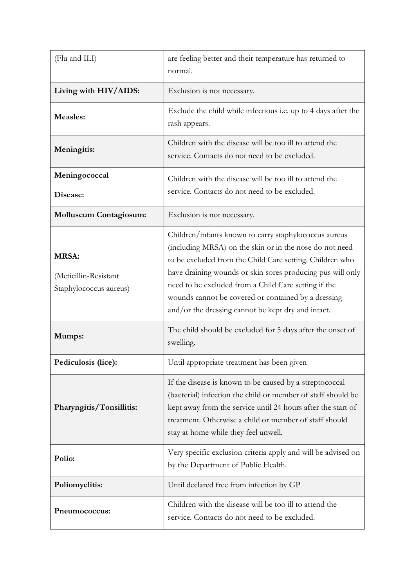| (Flu and ILI)                                                   | are feeling better and their temperature has returned to<br>normal.                                                                                                                                                                                                                                                                                                                                             |
|-----------------------------------------------------------------|-----------------------------------------------------------------------------------------------------------------------------------------------------------------------------------------------------------------------------------------------------------------------------------------------------------------------------------------------------------------------------------------------------------------|
| Living with HIV/AIDS:                                           | Exclusion is not necessary.                                                                                                                                                                                                                                                                                                                                                                                     |
| <b>Measles:</b>                                                 | Exclude the child while infectious i.e. up to 4 days after the<br>rash appears.                                                                                                                                                                                                                                                                                                                                 |
| Meningitis:                                                     | Children with the disease will be too ill to attend the<br>service. Contacts do not need to be excluded.                                                                                                                                                                                                                                                                                                        |
| Meningococcal<br>Disease:                                       | Children with the disease will be too ill to attend the<br>service. Contacts do not need to be excluded.                                                                                                                                                                                                                                                                                                        |
| <b>Molluscum Contagiosum:</b>                                   | Exclusion is not necessary.                                                                                                                                                                                                                                                                                                                                                                                     |
| <b>MRSA:</b><br>(Meticillin-Resistant<br>Staphylococcus aureus) | Children/infants known to carry staphylococcus aureus<br>(including MRSA) on the skin or in the nose do not need<br>to be excluded from the Child Care setting. Children who<br>have draining wounds or skin sores producing pus will only<br>need to be excluded from a Child Care setting if the<br>wounds cannot be covered or contained by a dressing<br>and/or the dressing cannot be kept dry and intact. |
| Mumps:                                                          | The child should be excluded for 5 days after the onset of<br>swelling.                                                                                                                                                                                                                                                                                                                                         |
| Pediculosis (lice):                                             | Until appropriate treatment has been given                                                                                                                                                                                                                                                                                                                                                                      |
| Pharyngitis/Tonsillitis:                                        | If the disease is known to be caused by a streptococcal<br>(bacterial) infection the child or member of staff should be<br>kept away from the service until 24 hours after the start of<br>treatment. Otherwise a child or member of staff should<br>stay at home while they feel unwell.                                                                                                                       |
| Polio:                                                          | Very specific exclusion criteria apply and will be advised on<br>by the Department of Public Health.                                                                                                                                                                                                                                                                                                            |
| Poliomyelitis:                                                  | Until declared free from infection by GP                                                                                                                                                                                                                                                                                                                                                                        |
| Pneumococcus:                                                   | Children with the disease will be too ill to attend the<br>service. Contacts do not need to be excluded.                                                                                                                                                                                                                                                                                                        |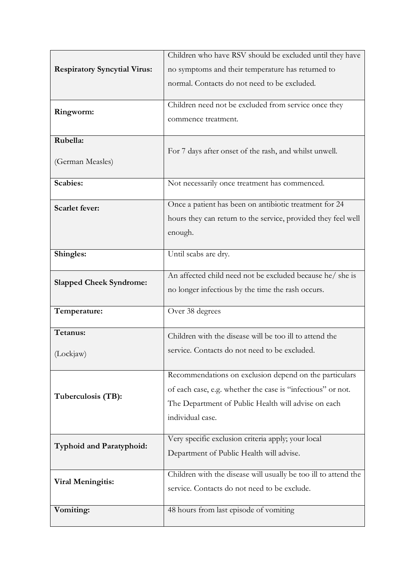|                                     | Children who have RSV should be excluded until they have        |
|-------------------------------------|-----------------------------------------------------------------|
| <b>Respiratory Syncytial Virus:</b> | no symptoms and their temperature has returned to               |
|                                     | normal. Contacts do not need to be excluded.                    |
|                                     |                                                                 |
| Ringworm:                           | Children need not be excluded from service once they            |
|                                     | commence treatment.                                             |
| Rubella:                            |                                                                 |
|                                     | For 7 days after onset of the rash, and whilst unwell.          |
| (German Measles)                    |                                                                 |
| <b>Scabies:</b>                     | Not necessarily once treatment has commenced.                   |
|                                     | Once a patient has been on antibiotic treatment for 24          |
| <b>Scarlet fever:</b>               | hours they can return to the service, provided they feel well   |
|                                     | enough.                                                         |
|                                     |                                                                 |
| Shingles:                           | Until scabs are dry.                                            |
|                                     | An affected child need not be excluded because he/ she is       |
| <b>Slapped Cheek Syndrome:</b>      | no longer infectious by the time the rash occurs.               |
|                                     |                                                                 |
| Temperature:                        | Over 38 degrees                                                 |
| Tetanus:                            | Children with the disease will be too ill to attend the         |
| (Lockjaw)                           | service. Contacts do not need to be excluded.                   |
|                                     |                                                                 |
| Tuberculosis (TB):                  | Recommendations on exclusion depend on the particulars          |
|                                     | of each case, e.g. whether the case is "infectious" or not.     |
|                                     | The Department of Public Health will advise on each             |
|                                     | individual case.                                                |
|                                     | Very specific exclusion criteria apply; your local              |
| <b>Typhoid and Paratyphoid:</b>     | Department of Public Health will advise.                        |
|                                     |                                                                 |
| <b>Viral Meningitis:</b>            | Children with the disease will usually be too ill to attend the |
|                                     | service. Contacts do not need to be exclude.                    |
| Vomiting:                           |                                                                 |
|                                     | 48 hours from last episode of vomiting                          |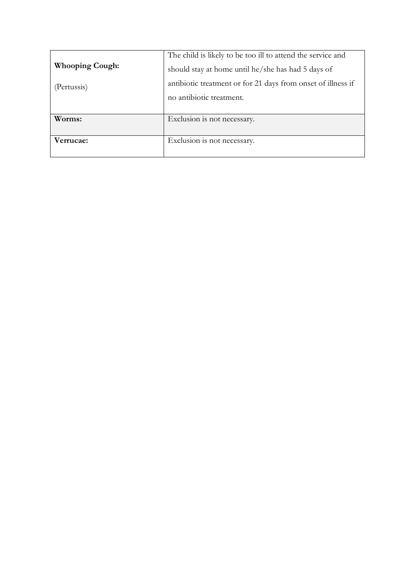|                        | The child is likely to be too ill to attend the service and  |
|------------------------|--------------------------------------------------------------|
| <b>Whooping Cough:</b> | should stay at home until he/she has had 5 days of           |
| (Pertussis)            | antibiotic treatment or for 21 days from onset of illness if |
|                        | no antibiotic treatment.                                     |
|                        |                                                              |
| Worms:                 | Exclusion is not necessary.                                  |
| Verrucae:              | Exclusion is not necessary.                                  |
|                        |                                                              |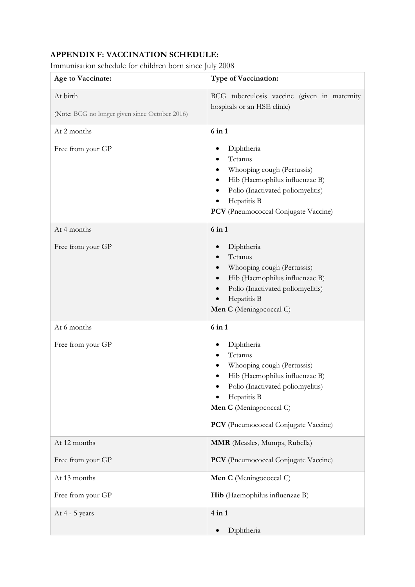# **APPENDIX F: VACCINATION SCHEDULE:**

Immunisation schedule for children born since July 2008

| Age to Vaccinate:                                          | <b>Type of Vaccination:</b>                                                                                                                                                                                         |
|------------------------------------------------------------|---------------------------------------------------------------------------------------------------------------------------------------------------------------------------------------------------------------------|
| At birth<br>(Note: BCG no longer given since October 2016) | BCG tuberculosis vaccine (given in maternity<br>hospitals or an HSE clinic)                                                                                                                                         |
| At 2 months                                                | $6$ in $1$                                                                                                                                                                                                          |
| Free from your GP                                          | Diphtheria<br>Tetanus<br>Whooping cough (Pertussis)<br>Hib (Haemophilus influenzae B)<br>Polio (Inactivated poliomyelitis)<br>Hepatitis B<br>PCV (Pneumococcal Conjugate Vaccine)                                   |
| At 4 months<br>Free from your GP                           | $6$ in $1$<br>Diphtheria<br>Tetanus<br>Whooping cough (Pertussis)<br>Hib (Haemophilus influenzae B)                                                                                                                 |
|                                                            | Polio (Inactivated poliomyelitis)<br>Hepatitis B<br>Men C (Meningococcal C)                                                                                                                                         |
| At 6 months                                                | $6$ in $1$                                                                                                                                                                                                          |
| Free from your GP                                          | Diphtheria<br>Tetanus<br>Whooping cough (Pertussis)<br>Hib (Haemophilus influenzae B)<br>Polio (Inactivated poliomyelitis)<br>Hepatitis B<br>Men C (Meningococcal C)<br><b>PCV</b> (Pneumococcal Conjugate Vaccine) |
| At 12 months                                               | MMR (Measles, Mumps, Rubella)                                                                                                                                                                                       |
| Free from your GP                                          | PCV (Pneumococcal Conjugate Vaccine)                                                                                                                                                                                |
| At 13 months                                               | Men C (Meningococcal C)                                                                                                                                                                                             |
| Free from your GP                                          | Hib (Haemophilus influenzae B)                                                                                                                                                                                      |
| At 4 - 5 years                                             | $4$ in $1$<br>Diphtheria                                                                                                                                                                                            |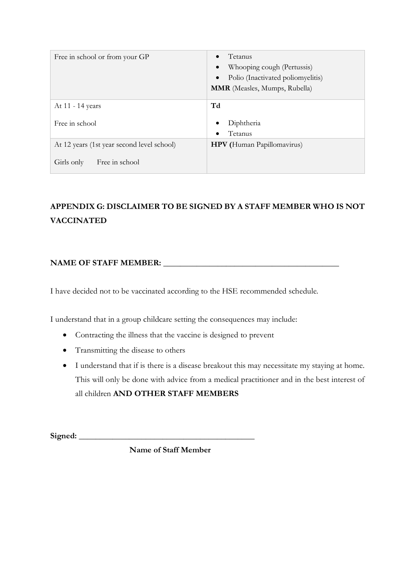| Free in school or from your GP             | Tetanus<br>Whooping cough (Pertussis)<br>Polio (Inactivated poliomyelitis)<br><b>MMR</b> (Measles, Mumps, Rubella) |
|--------------------------------------------|--------------------------------------------------------------------------------------------------------------------|
| At 11 - 14 years                           | Td                                                                                                                 |
| Free in school                             | Diphtheria<br>Tetanus                                                                                              |
| At 12 years (1st year second level school) | <b>HPV</b> (Human Papillomavirus)                                                                                  |
| Free in school<br>Girls only               |                                                                                                                    |

# **APPENDIX G: DISCLAIMER TO BE SIGNED BY A STAFF MEMBER WHO IS NOT VACCINATED**

# NAME OF STAFF MEMBER: **We are all that the state of STAFF**  $\blacksquare$

I have decided not to be vaccinated according to the HSE recommended schedule.

I understand that in a group childcare setting the consequences may include:

- Contracting the illness that the vaccine is designed to prevent
- Transmitting the disease to others
- I understand that if is there is a disease breakout this may necessitate my staying at home. This will only be done with advice from a medical practitioner and in the best interest of all children **AND OTHER STAFF MEMBERS**

Signed:

**Name of Staff Member**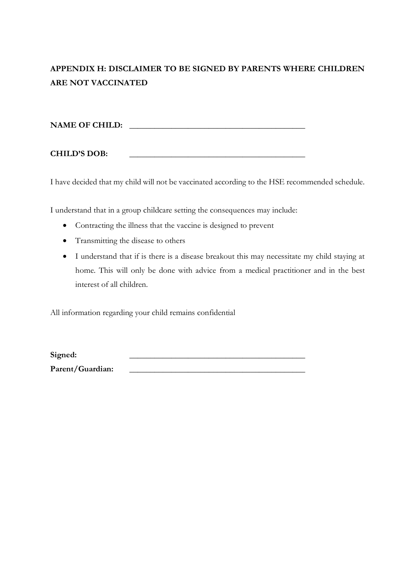# **APPENDIX H: DISCLAIMER TO BE SIGNED BY PARENTS WHERE CHILDREN ARE NOT VACCINATED**

**NAME OF CHILD: \_\_\_\_\_\_\_\_\_\_\_\_\_\_\_\_\_\_\_\_\_\_\_\_\_\_\_\_\_\_\_\_\_\_\_\_\_\_\_\_\_\_**

**CHILD'S DOB: \_\_\_\_\_\_\_\_\_\_\_\_\_\_\_\_\_\_\_\_\_\_\_\_\_\_\_\_\_\_\_\_\_\_\_\_\_\_\_\_\_\_**

I have decided that my child will not be vaccinated according to the HSE recommended schedule.

I understand that in a group childcare setting the consequences may include:

- Contracting the illness that the vaccine is designed to prevent
- Transmitting the disease to others
- I understand that if is there is a disease breakout this may necessitate my child staying at home. This will only be done with advice from a medical practitioner and in the best interest of all children.

All information regarding your child remains confidential

Signed: Parent/Guardian: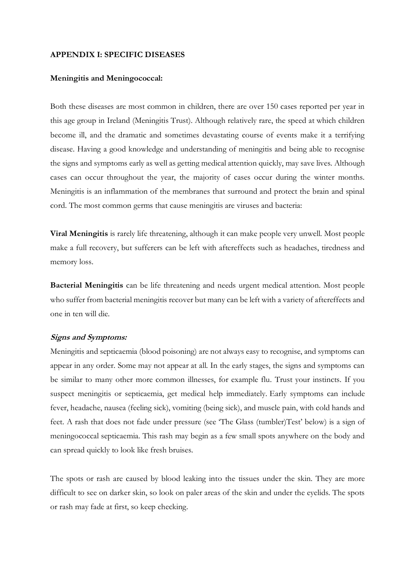#### **APPENDIX I: SPECIFIC DISEASES**

#### **Meningitis and Meningococcal:**

Both these diseases are most common in children, there are over 150 cases reported per year in this age group in Ireland (Meningitis Trust). Although relatively rare, the speed at which children become ill, and the dramatic and sometimes devastating course of events make it a terrifying disease. Having a good knowledge and understanding of meningitis and being able to recognise the signs and symptoms early as well as getting medical attention quickly, may save lives. Although cases can occur throughout the year, the majority of cases occur during the winter months. Meningitis is an inflammation of the membranes that surround and protect the brain and spinal cord. The most common germs that cause meningitis are viruses and bacteria:

**Viral Meningitis** is rarely life threatening, although it can make people very unwell. Most people make a full recovery, but sufferers can be left with aftereffects such as headaches, tiredness and memory loss.

**Bacterial Meningitis** can be life threatening and needs urgent medical attention. Most people who suffer from bacterial meningitis recover but many can be left with a variety of aftereffects and one in ten will die.

#### **Signs and Symptoms:**

Meningitis and septicaemia (blood poisoning) are not always easy to recognise, and symptoms can appear in any order. Some may not appear at all. In the early stages, the signs and symptoms can be similar to many other more common illnesses, for example flu. Trust your instincts. If you suspect meningitis or septicaemia, get medical help immediately. Early symptoms can include fever, headache, nausea (feeling sick), vomiting (being sick), and muscle pain, with cold hands and feet. A rash that does not fade under pressure (see 'The Glass (tumbler)Test' below) is a sign of meningococcal septicaemia. This rash may begin as a few small spots anywhere on the body and can spread quickly to look like fresh bruises.

The spots or rash are caused by blood leaking into the tissues under the skin. They are more difficult to see on darker skin, so look on paler areas of the skin and under the eyelids. The spots or rash may fade at first, so keep checking.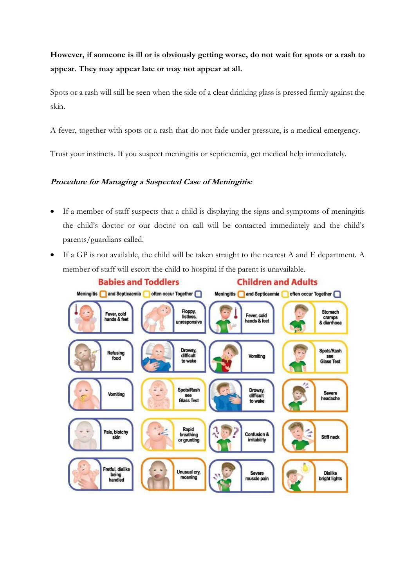**However, if someone is ill or is obviously getting worse, do not wait for spots or a rash to appear. They may appear late or may not appear at all.**

Spots or a rash will still be seen when the side of a clear drinking glass is pressed firmly against the skin.

A fever, together with spots or a rash that do not fade under pressure, is a medical emergency.

Trust your instincts. If you suspect meningitis or septicaemia, get medical help immediately.

# **Procedure for Managing a Suspected Case of Meningitis:**

- If a member of staff suspects that a child is displaying the signs and symptoms of meningitis the child's doctor or our doctor on call will be contacted immediately and the child's parents/guardians called.
- If a GP is not available, the child will be taken straight to the nearest A and E department. A member of staff will escort the child to hospital if the parent is unavailable.

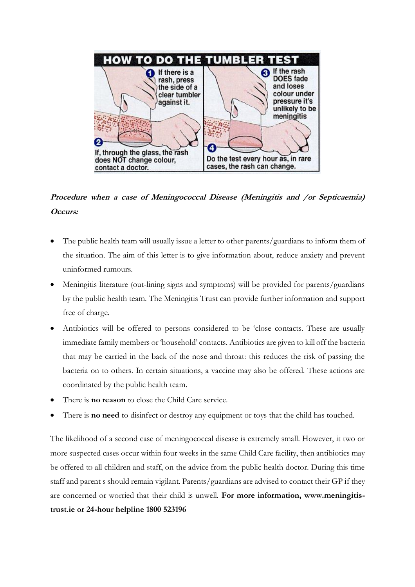

# **Procedure when a case of Meningococcal Disease (Meningitis and /or Septicaemia) Occurs:**

- The public health team will usually issue a letter to other parents/guardians to inform them of the situation. The aim of this letter is to give information about, reduce anxiety and prevent uninformed rumours.
- Meningitis literature (out-lining signs and symptoms) will be provided for parents/guardians by the public health team. The Meningitis Trust can provide further information and support free of charge.
- Antibiotics will be offered to persons considered to be 'close contacts. These are usually immediate family members or 'household' contacts. Antibiotics are given to kill off the bacteria that may be carried in the back of the nose and throat: this reduces the risk of passing the bacteria on to others. In certain situations, a vaccine may also be offered. These actions are coordinated by the public health team.
- There is **no reason** to close the Child Care service.
- There is **no need** to disinfect or destroy any equipment or toys that the child has touched.

The likelihood of a second case of meningococcal disease is extremely small. However, it two or more suspected cases occur within four weeks in the same Child Care facility, then antibiotics may be offered to all children and staff, on the advice from the public health doctor. During this time staff and parent s should remain vigilant. Parents/guardians are advised to contact their GP if they are concerned or worried that their child is unwell. **For more information, www.meningitistrust.ie or 24-hour helpline 1800 523196**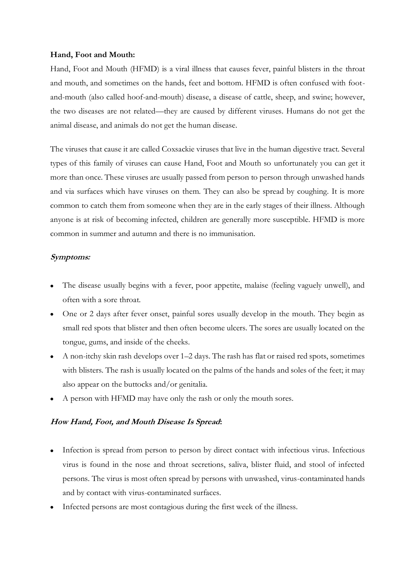#### **Hand, Foot and Mouth:**

Hand, Foot and Mouth (HFMD) is a viral illness that causes fever, painful blisters in the throat and mouth, and sometimes on the hands, feet and bottom. HFMD is often confused with footand-mouth (also called hoof-and-mouth) disease, a disease of cattle, sheep, and swine; however, the two diseases are not related—they are caused by different viruses. Humans do not get the animal disease, and animals do not get the human disease.

The viruses that cause it are called Coxsackie viruses that live in the human digestive tract. Several types of this family of viruses can cause Hand, Foot and Mouth so unfortunately you can get it more than once. These viruses are usually passed from person to person through unwashed hands and via surfaces which have viruses on them. They can also be spread by coughing. It is more common to catch them from someone when they are in the early stages of their illness. Although anyone is at risk of becoming infected, children are generally more susceptible. HFMD is more common in summer and autumn and there is no immunisation.

## **Symptoms:**

- The disease usually begins with a fever, poor appetite, malaise (feeling vaguely unwell), and often with a sore throat.
- One or 2 days after fever onset, painful sores usually develop in the mouth. They begin as small red spots that blister and then often become ulcers. The sores are usually located on the tongue, gums, and inside of the cheeks.
- A non-itchy skin rash develops over 1–2 days. The rash has flat or raised red spots, sometimes with blisters. The rash is usually located on the palms of the hands and soles of the feet; it may also appear on the buttocks and/or genitalia.
- A person with HFMD may have only the rash or only the mouth sores.

## **How Hand, Foot, and Mouth Disease Is Spread:**

- Infection is spread from person to person by direct contact with infectious virus. Infectious virus is found in the nose and throat secretions, saliva, blister fluid, and stool of infected persons. The virus is most often spread by persons with unwashed, virus-contaminated hands and by contact with virus-contaminated surfaces.
- Infected persons are most contagious during the first week of the illness.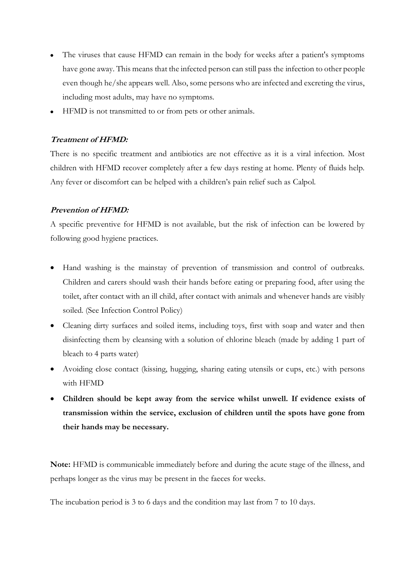- The viruses that cause HFMD can remain in the body for weeks after a patient's symptoms have gone away. This means that the infected person can still pass the infection to other people even though he/she appears well. Also, some persons who are infected and excreting the virus, including most adults, may have no symptoms.
- HFMD is not transmitted to or from pets or other animals.

## **Treatment of HFMD:**

There is no specific treatment and antibiotics are not effective as it is a viral infection. Most children with HFMD recover completely after a few days resting at home. Plenty of fluids help. Any fever or discomfort can be helped with a children's pain relief such as Calpol.

## **Prevention of HFMD:**

A specific preventive for HFMD is not available, but the risk of infection can be lowered by following good hygiene practices.

- Hand washing is the mainstay of prevention of transmission and control of outbreaks. Children and carers should wash their hands before eating or preparing food, after using the toilet, after contact with an ill child, after contact with animals and whenever hands are visibly soiled. (See Infection Control Policy)
- Cleaning dirty surfaces and soiled items, including toys, first with soap and water and then disinfecting them by cleansing with a solution of chlorine bleach (made by adding 1 part of bleach to 4 parts water)
- Avoiding close contact (kissing, hugging, sharing eating utensils or cups, etc.) with persons with HFMD
- **Children should be kept away from the service whilst unwell. If evidence exists of transmission within the service, exclusion of children until the spots have gone from their hands may be necessary.**

**Note:** HFMD is communicable immediately before and during the acute stage of the illness, and perhaps longer as the virus may be present in the faeces for weeks.

The incubation period is 3 to 6 days and the condition may last from 7 to 10 days.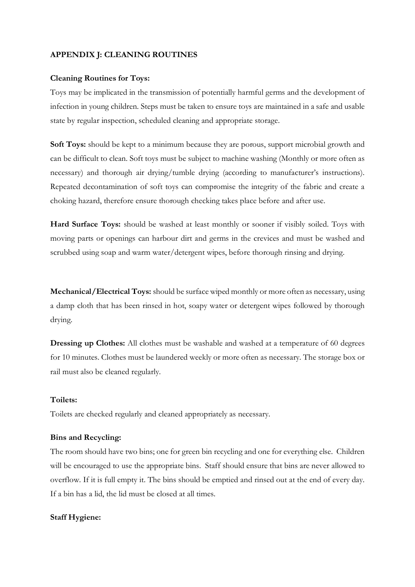#### **APPENDIX J: CLEANING ROUTINES**

#### **Cleaning Routines for Toys:**

Toys may be implicated in the transmission of potentially harmful germs and the development of infection in young children. Steps must be taken to ensure toys are maintained in a safe and usable state by regular inspection, scheduled cleaning and appropriate storage.

**Soft Toys:** should be kept to a minimum because they are porous, support microbial growth and can be difficult to clean. Soft toys must be subject to machine washing (Monthly or more often as necessary) and thorough air drying/tumble drying (according to manufacturer's instructions). Repeated decontamination of soft toys can compromise the integrity of the fabric and create a choking hazard, therefore ensure thorough checking takes place before and after use.

**Hard Surface Toys:** should be washed at least monthly or sooner if visibly soiled. Toys with moving parts or openings can harbour dirt and germs in the crevices and must be washed and scrubbed using soap and warm water/detergent wipes, before thorough rinsing and drying.

**Mechanical/Electrical Toys:** should be surface wiped monthly or more often as necessary, using a damp cloth that has been rinsed in hot, soapy water or detergent wipes followed by thorough drying.

**Dressing up Clothes:** All clothes must be washable and washed at a temperature of 60 degrees for 10 minutes. Clothes must be laundered weekly or more often as necessary. The storage box or rail must also be cleaned regularly.

#### **Toilets:**

Toilets are checked regularly and cleaned appropriately as necessary.

#### **Bins and Recycling:**

The room should have two bins; one for green bin recycling and one for everything else. Children will be encouraged to use the appropriate bins. Staff should ensure that bins are never allowed to overflow. If it is full empty it. The bins should be emptied and rinsed out at the end of every day. If a bin has a lid, the lid must be closed at all times.

#### **Staff Hygiene:**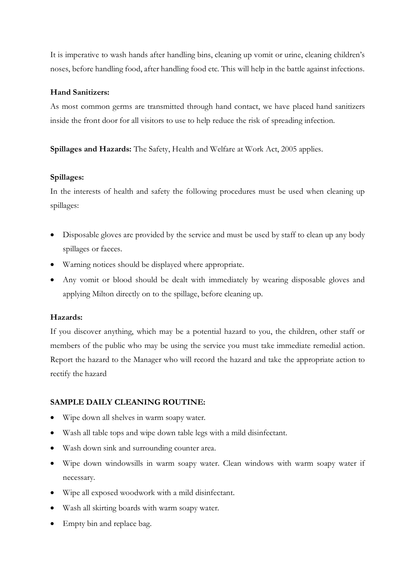It is imperative to wash hands after handling bins, cleaning up vomit or urine, cleaning children's noses, before handling food, after handling food etc. This will help in the battle against infections.

## **Hand Sanitizers:**

As most common germs are transmitted through hand contact, we have placed hand sanitizers inside the front door for all visitors to use to help reduce the risk of spreading infection.

**Spillages and Hazards:** The Safety, Health and Welfare at Work Act, 2005 applies.

## **Spillages:**

In the interests of health and safety the following procedures must be used when cleaning up spillages:

- Disposable gloves are provided by the service and must be used by staff to clean up any body spillages or faeces.
- Warning notices should be displayed where appropriate.
- Any vomit or blood should be dealt with immediately by wearing disposable gloves and applying Milton directly on to the spillage, before cleaning up.

## **Hazards:**

If you discover anything, which may be a potential hazard to you, the children, other staff or members of the public who may be using the service you must take immediate remedial action. Report the hazard to the Manager who will record the hazard and take the appropriate action to rectify the hazard

# **SAMPLE DAILY CLEANING ROUTINE:**

- Wipe down all shelves in warm soapy water.
- Wash all table tops and wipe down table legs with a mild disinfectant.
- Wash down sink and surrounding counter area.
- Wipe down windowsills in warm soapy water. Clean windows with warm soapy water if necessary.
- Wipe all exposed woodwork with a mild disinfectant.
- Wash all skirting boards with warm soapy water.
- Empty bin and replace bag.